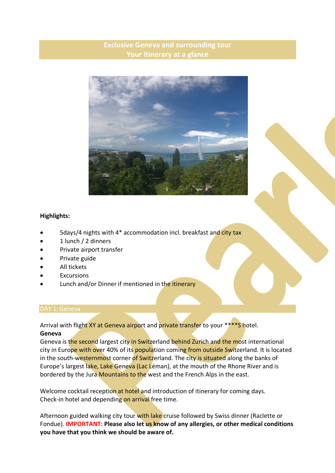# **Exclusive Geneva and surrounding tour Your itinerary at a glance**



# **Highlights:**

- 5days/4 nights with 4\* accommodation incl. breakfast and city tax
- 1 lunch / 2 dinners
- Private airport transfer
- Private guide
- All tickets
- **Excursions**
- Lunch and/or Dinner if mentioned in the itinerary

## DAY 1: Geneva

Arrival with flight XY at Geneva airport and private transfer to your \*\*\*\*S hotel. **Geneva**

Geneva is the second largest city in Switzerland behind Zurich and the most international city in Europe with over 40% of its population coming from outside Switzerland. It is located in the south-westernmost corner of Switzerland. The city is situated along the banks of Europe's largest lake, Lake Geneva (Lac Léman), at the mouth of the Rhone River and is bordered by the Jura Mountains to the west and the French Alps in the east.

Welcome cocktail reception at hotel and introduction of itinerary for coming days. Check-in hotel and depending on arrival free time.

Afternoon guided walking city tour with lake cruise followed by Swiss dinner (Raclette or Fondue). **IMPORTANT: Please also let us know of any allergies, or other medical conditions you have that you think we should be aware of.**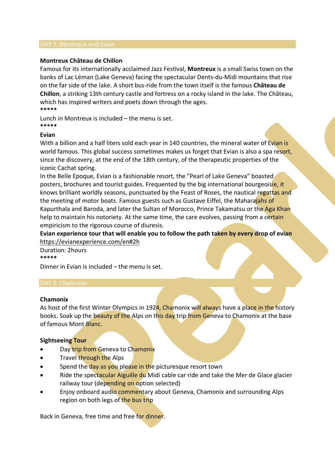## **Montreux Château de Chillon**

Famous for its internationally acclaimed Jazz Festival, **Montreux** is a small Swiss town on the banks of Lac Léman (Lake Geneva) facing the spectacular Dents-du-Midi mountains that rise on the far side of the lake. A short bus-ride from the town itself is the famous **Château de Chillon**, a striking 13th century castle and fortress on a rocky island in the lake. The Château, which has inspired writers and poets down through the ages. **\*\*\*\*\***

Lunch in Montreux is included – the menu is set. **\*\*\*\*\***

# **Evian**

With a billion and a half liters sold each year in 140 countries, the mineral water of Evian is world famous. This global success sometimes makes us forget that Evian is also a spa resort, since the discovery, at the end of the 18th century, of the therapeutic properties of the iconic Cachat spring.

In the Belle Epoque, Evian is a fashionable resort, the "Pearl of Lake Geneva" boasted posters, brochures and tourist guides. Frequented by the big international bourgeoisie, it knows brilliant worldly seasons, punctuated by the Feast of Roses, the nautical regattas and the meeting of motor boats. Famous guests such as Gustave Eiffel, the Maharajahs of Kapurthala and Baroda, and later the Sultan of Morocco, Prince Takamatsu or the Aga Khan help to maintain his notoriety. At the same time, the care evolves, passing from a certain empiricism to the rigorous course of diuresis.

**Evian experience tour that will enable you to follow the path taken by every drop of evian**  https://evianexperience.com/en#2h

Duration: 2hours **\*\*\*\*\***

Dinner in Evian is included – the menu is set.

#### DAY 3: Chamonix

# **Chamonix**

As host of the first Winter Olympics in 1924, Chamonix will always have a place in the history books. Soak up the beauty of the Alps on this day trip from Geneva to Chamonix at the base of famous Mont Blanc.

# **Sightseeing Tour**

- Day trip from Geneva to Chamonix
- Travel through the Alps
- Spend the day as you please in the picturesque resort town
- Ride the spectacular Aiguille du Midi cable car ride and take the Mer de Glace glacier railway tour (depending on option selected)
- Enjoy onboard audio commentary about Geneva, Chamonix and surrounding Alps region on both legs of the bus trip

Back in Geneva, free time and free for dinner.